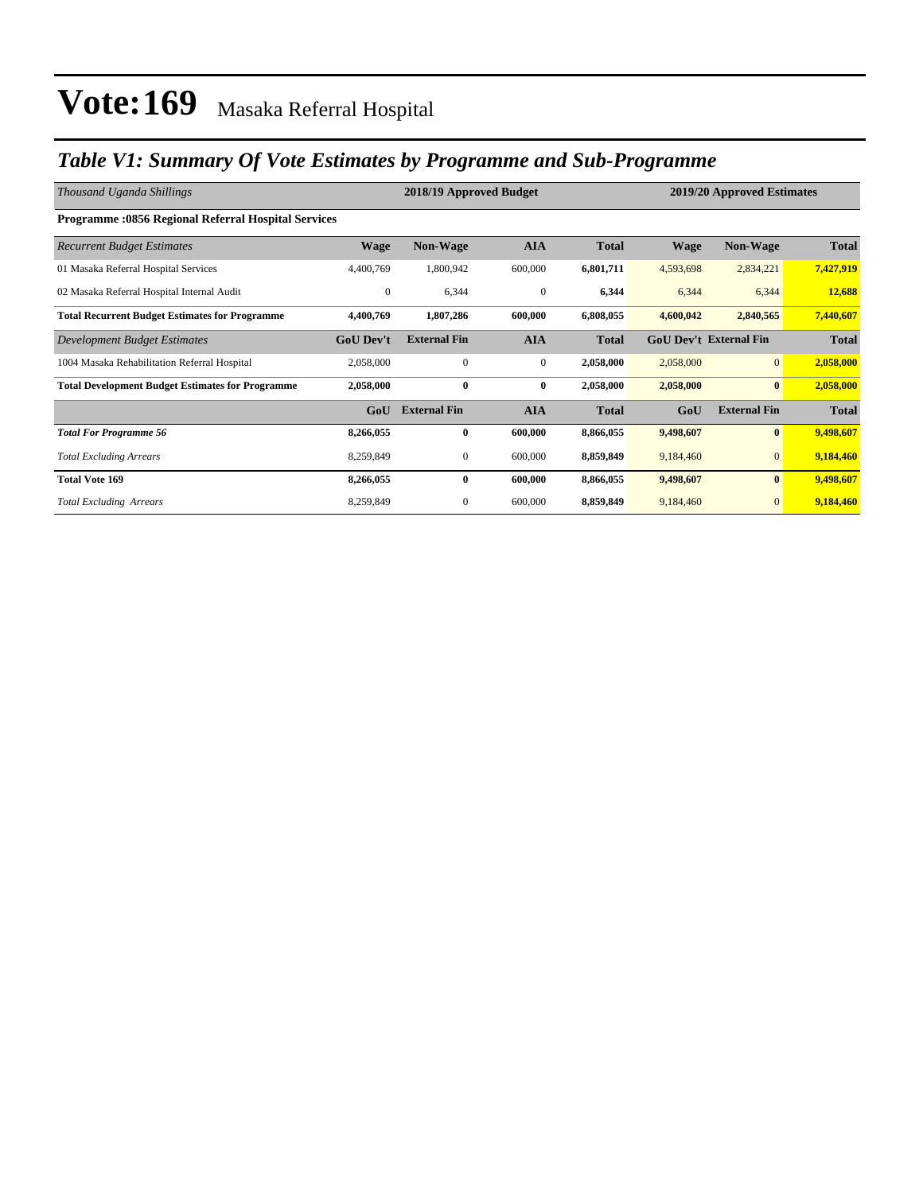### *Table V1: Summary Of Vote Estimates by Programme and Sub-Programme*

| Thousand Uganda Shillings                                  |                  | 2018/19 Approved Budget |              |              | 2019/20 Approved Estimates |                               |              |  |
|------------------------------------------------------------|------------------|-------------------------|--------------|--------------|----------------------------|-------------------------------|--------------|--|
| <b>Programme: 0856 Regional Referral Hospital Services</b> |                  |                         |              |              |                            |                               |              |  |
| <b>Recurrent Budget Estimates</b>                          | <b>Wage</b>      | <b>Non-Wage</b>         | <b>AIA</b>   | <b>Total</b> | <b>Wage</b>                | <b>Non-Wage</b>               | <b>Total</b> |  |
| 01 Masaka Referral Hospital Services                       | 4,400,769        | 1,800,942               | 600,000      | 6,801,711    | 4,593,698                  | 2,834,221                     | 7,427,919    |  |
| 02 Masaka Referral Hospital Internal Audit                 | $\mathbf{0}$     | 6,344                   | $\mathbf{0}$ | 6,344        | 6,344                      | 6,344                         | 12,688       |  |
| <b>Total Recurrent Budget Estimates for Programme</b>      | 4,400,769        | 1,807,286               | 600,000      | 6,808,055    | 4,600,042                  | 2,840,565                     | 7,440,607    |  |
| Development Budget Estimates                               | <b>GoU Dev't</b> | <b>External Fin</b>     | <b>AIA</b>   | <b>Total</b> |                            | <b>GoU Dev't External Fin</b> | <b>Total</b> |  |
| 1004 Masaka Rehabilitation Referral Hospital               | 2,058,000        | $\mathbf{0}$            | $\mathbf{0}$ | 2,058,000    | 2,058,000                  | $\overline{0}$                | 2,058,000    |  |
| <b>Total Development Budget Estimates for Programme</b>    | 2,058,000        | $\bf{0}$                | $\bf{0}$     | 2,058,000    | 2,058,000                  | $\bf{0}$                      | 2,058,000    |  |
|                                                            | GoU              | <b>External Fin</b>     | <b>AIA</b>   | <b>Total</b> | GoU                        | <b>External Fin</b>           | <b>Total</b> |  |
| <b>Total For Programme 56</b>                              | 8,266,055        | $\bf{0}$                | 600,000      | 8,866,055    | 9,498,607                  | $\bf{0}$                      | 9,498,607    |  |
| <b>Total Excluding Arrears</b>                             | 8,259,849        | $\mathbf{0}$            | 600,000      | 8,859,849    | 9,184,460                  | $\overline{0}$                | 9,184,460    |  |
| <b>Total Vote 169</b>                                      | 8,266,055        | 0                       | 600,000      | 8,866,055    | 9,498,607                  | $\bf{0}$                      | 9,498,607    |  |
| <b>Total Excluding Arrears</b>                             | 8,259,849        | 0                       | 600,000      | 8,859,849    | 9,184,460                  | $\mathbf{0}$                  | 9,184,460    |  |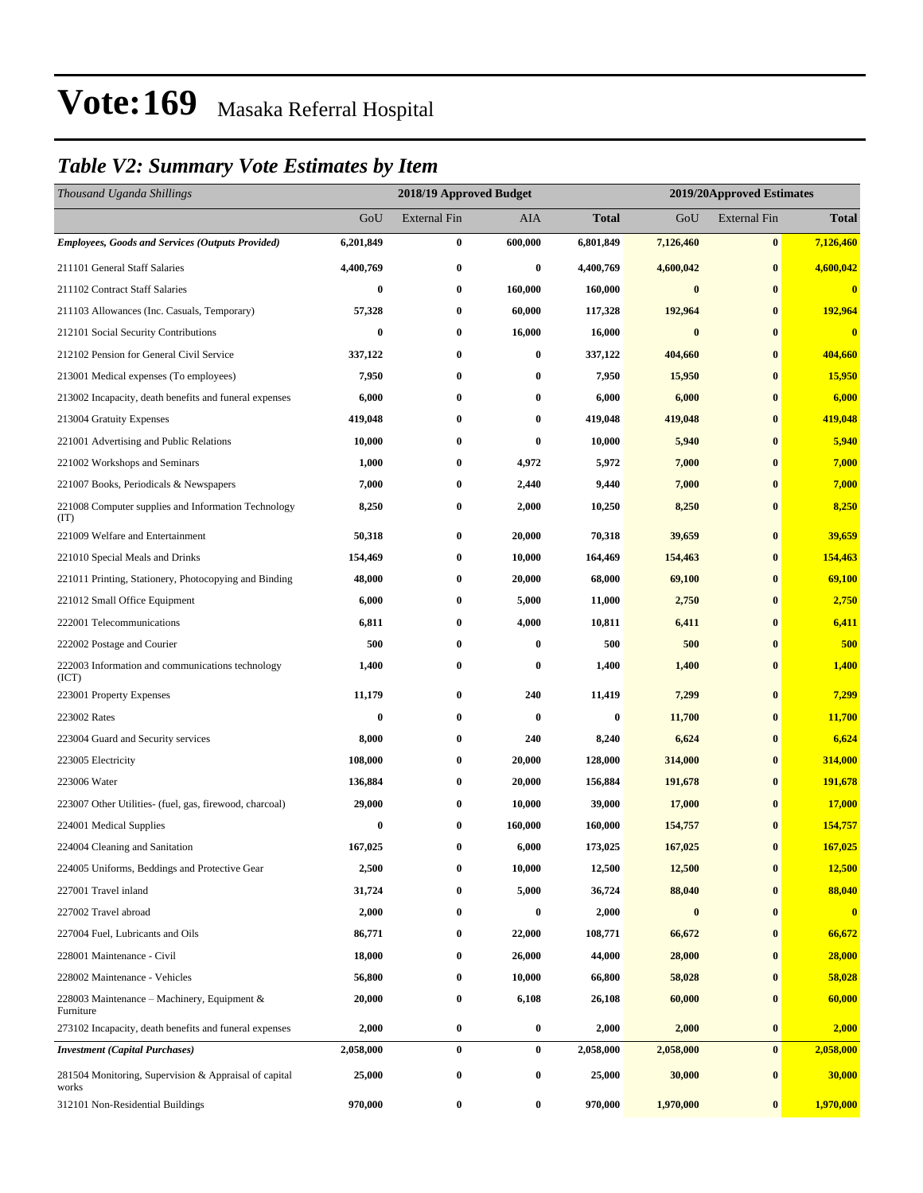### *Table V2: Summary Vote Estimates by Item*

| Thousand Uganda Shillings                                      |           | 2018/19 Approved Budget |           |              | 2019/20Approved Estimates |                     |              |
|----------------------------------------------------------------|-----------|-------------------------|-----------|--------------|---------------------------|---------------------|--------------|
|                                                                | GoU       | <b>External Fin</b>     | AIA       | <b>Total</b> | GoU                       | <b>External Fin</b> | <b>Total</b> |
| <b>Employees, Goods and Services (Outputs Provided)</b>        | 6,201,849 | 0                       | 600,000   | 6,801,849    | 7,126,460                 | $\bf{0}$            | 7,126,460    |
| 211101 General Staff Salaries                                  | 4,400,769 | $\boldsymbol{0}$        | $\bf{0}$  | 4,400,769    | 4,600,042                 | $\bf{0}$            | 4,600,042    |
| 211102 Contract Staff Salaries                                 | $\bf{0}$  | $\boldsymbol{0}$        | 160,000   | 160,000      | $\bf{0}$                  | $\bf{0}$            | $\bf{0}$     |
| 211103 Allowances (Inc. Casuals, Temporary)                    | 57,328    | $\bf{0}$                | 60,000    | 117,328      | 192,964                   | $\bf{0}$            | 192,964      |
| 212101 Social Security Contributions                           | $\bf{0}$  | $\bf{0}$                | 16,000    | 16,000       | $\bf{0}$                  | $\bf{0}$            | $\bf{0}$     |
| 212102 Pension for General Civil Service                       | 337,122   | $\bf{0}$                | $\bf{0}$  | 337,122      | 404,660                   | $\bf{0}$            | 404,660      |
| 213001 Medical expenses (To employees)                         | 7,950     | 0                       | $\bf{0}$  | 7,950        | 15,950                    | $\bf{0}$            | 15,950       |
| 213002 Incapacity, death benefits and funeral expenses         | 6,000     | 0                       | $\bf{0}$  | 6,000        | 6,000                     | $\bf{0}$            | 6,000        |
| 213004 Gratuity Expenses                                       | 419,048   | 0                       | $\bf{0}$  | 419,048      | 419,048                   | $\bf{0}$            | 419,048      |
| 221001 Advertising and Public Relations                        | 10,000    | $\boldsymbol{0}$        | $\bf{0}$  | 10,000       | 5,940                     | $\bf{0}$            | 5,940        |
| 221002 Workshops and Seminars                                  | 1,000     | $\bf{0}$                | 4,972     | 5,972        | 7,000                     | $\bf{0}$            | 7,000        |
| 221007 Books, Periodicals & Newspapers                         | 7,000     | 0                       | 2,440     | 9,440        | 7,000                     | $\bf{0}$            | 7,000        |
| 221008 Computer supplies and Information Technology<br>(TT)    | 8,250     | $\boldsymbol{0}$        | 2,000     | 10,250       | 8,250                     | $\bf{0}$            | 8,250        |
| 221009 Welfare and Entertainment                               | 50,318    | $\boldsymbol{0}$        | 20,000    | 70,318       | 39,659                    | $\bf{0}$            | 39,659       |
| 221010 Special Meals and Drinks                                | 154,469   | $\bf{0}$                | 10,000    | 164,469      | 154,463                   | $\bf{0}$            | 154,463      |
| 221011 Printing, Stationery, Photocopying and Binding          | 48,000    | 0                       | 20,000    | 68,000       | 69,100                    | $\bf{0}$            | 69,100       |
| 221012 Small Office Equipment                                  | 6,000     | $\boldsymbol{0}$        | 5,000     | 11,000       | 2,750                     | $\bf{0}$            | 2,750        |
| 222001 Telecommunications                                      | 6,811     | $\bf{0}$                | 4,000     | 10,811       | 6,411                     | $\bf{0}$            | 6,411        |
| 222002 Postage and Courier                                     | 500       | $\bf{0}$                | $\bf{0}$  | 500          | 500                       | $\bf{0}$            | 500          |
| 222003 Information and communications technology<br>(ICT)      | 1,400     | $\bf{0}$                | $\bf{0}$  | 1,400        | 1,400                     | $\bf{0}$            | 1,400        |
| 223001 Property Expenses                                       | 11,179    | $\bf{0}$                | 240       | 11,419       | 7,299                     | $\bf{0}$            | 7,299        |
| 223002 Rates                                                   | 0         | $\bf{0}$                | $\bf{0}$  | $\bf{0}$     | 11,700                    | $\bf{0}$            | 11,700       |
| 223004 Guard and Security services                             | 8,000     | $\bf{0}$                | 240       | 8,240        | 6,624                     | $\bf{0}$            | 6,624        |
| 223005 Electricity                                             | 108,000   | 0                       | 20,000    | 128,000      | 314,000                   | $\bf{0}$            | 314,000      |
| 223006 Water                                                   | 136,884   | $\boldsymbol{0}$        | 20,000    | 156,884      | 191,678                   | $\bf{0}$            | 191,678      |
| 223007 Other Utilities- (fuel, gas, firewood, charcoal)        | 29,000    | $\bf{0}$                | 10,000    | 39,000       | 17,000                    | $\bf{0}$            | 17,000       |
| 224001 Medical Supplies                                        | 0         | $\bf{0}$                | 160,000   | 160,000      | 154,757                   | $\bf{0}$            | 154,757      |
| 224004 Cleaning and Sanitation                                 | 167,025   | $\bf{0}$                | 6,000     | 173,025      | 167,025                   | $\bf{0}$            | 167,025      |
| 224005 Uniforms, Beddings and Protective Gear                  | 2,500     | 0                       | 10,000    | 12,500       | 12,500                    | $\bf{0}$            | 12,500       |
| 227001 Travel inland                                           | 31,724    | 0                       | 5,000     | 36,724       | 88,040                    | $\bf{0}$            | 88,040       |
| 227002 Travel abroad                                           | 2,000     | $\boldsymbol{0}$        | $\bf{0}$  | 2,000        | $\bf{0}$                  | $\bf{0}$            | $\bf{0}$     |
| 227004 Fuel, Lubricants and Oils                               | 86,771    | $\bf{0}$                | 22,000    | 108,771      | 66,672                    | $\bf{0}$            | 66,672       |
| 228001 Maintenance - Civil                                     | 18,000    | $\boldsymbol{0}$        | 26,000    | 44,000       | 28,000                    | $\bf{0}$            | 28,000       |
| 228002 Maintenance - Vehicles                                  | 56,800    | 0                       | 10,000    | 66,800       | 58,028                    | $\bf{0}$            | 58,028       |
| 228003 Maintenance – Machinery, Equipment $\&$<br>Furniture    | 20,000    | $\bf{0}$                | 6,108     | 26,108       | 60,000                    | $\bf{0}$            | 60,000       |
| 273102 Incapacity, death benefits and funeral expenses         | 2,000     | $\bf{0}$                | $\pmb{0}$ | 2,000        | 2,000                     | $\bf{0}$            | 2,000        |
| <b>Investment</b> (Capital Purchases)                          | 2,058,000 | $\bf{0}$                | $\bf{0}$  | 2,058,000    | 2,058,000                 | $\bf{0}$            | 2,058,000    |
| 281504 Monitoring, Supervision & Appraisal of capital<br>works | 25,000    | $\boldsymbol{0}$        | $\bf{0}$  | 25,000       | 30,000                    | $\bf{0}$            | 30,000       |
| 312101 Non-Residential Buildings                               | 970,000   | $\boldsymbol{0}$        | $\bf{0}$  | 970,000      | 1,970,000                 | $\bf{0}$            | 1,970,000    |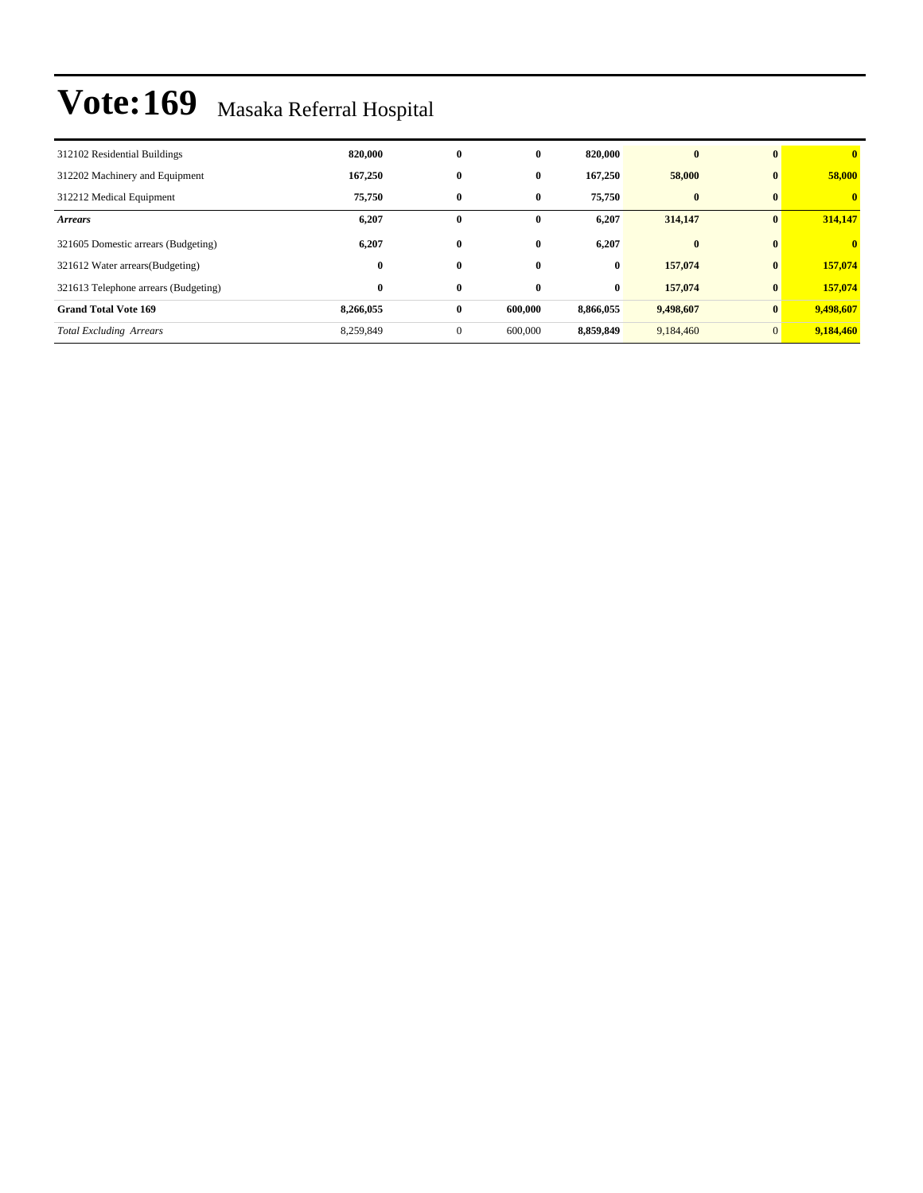| 312102 Residential Buildings         | 820,000   | $\bf{0}$     | $\bf{0}$ | 820,000   | $\mathbf{0}$ | $\mathbf{0}$   | $\overline{\mathbf{0}}$ |
|--------------------------------------|-----------|--------------|----------|-----------|--------------|----------------|-------------------------|
| 312202 Machinery and Equipment       | 167,250   | $\bf{0}$     | $\bf{0}$ | 167,250   | 58,000       | $\bf{0}$       | 58,000                  |
| 312212 Medical Equipment             | 75,750    | $\bf{0}$     | $\bf{0}$ | 75,750    | $\bf{0}$     | $\mathbf{0}$   | $\mathbf{0}$            |
| <b>Arrears</b>                       | 6,207     | $\bf{0}$     | $\bf{0}$ | 6,207     | 314,147      | $\bf{0}$       | 314,147                 |
| 321605 Domestic arrears (Budgeting)  | 6,207     | $\bf{0}$     | 0        | 6,207     | $\bf{0}$     | $\mathbf{0}$   | $\mathbf{0}$            |
| 321612 Water arrears (Budgeting)     | $\bf{0}$  | $\bf{0}$     | $\bf{0}$ | $\bf{0}$  | 157,074      | $\bf{0}$       | 157,074                 |
| 321613 Telephone arrears (Budgeting) | $\bf{0}$  | $\bf{0}$     | $\bf{0}$ | $\bf{0}$  | 157,074      | $\bf{0}$       | 157,074                 |
| <b>Grand Total Vote 169</b>          | 8,266,055 | $\bf{0}$     | 600,000  | 8,866,055 | 9,498,607    | $\bf{0}$       | 9,498,607               |
| <b>Total Excluding Arrears</b>       | 8,259,849 | $\mathbf{0}$ | 600,000  | 8,859,849 | 9,184,460    | $\overline{0}$ | 9,184,460               |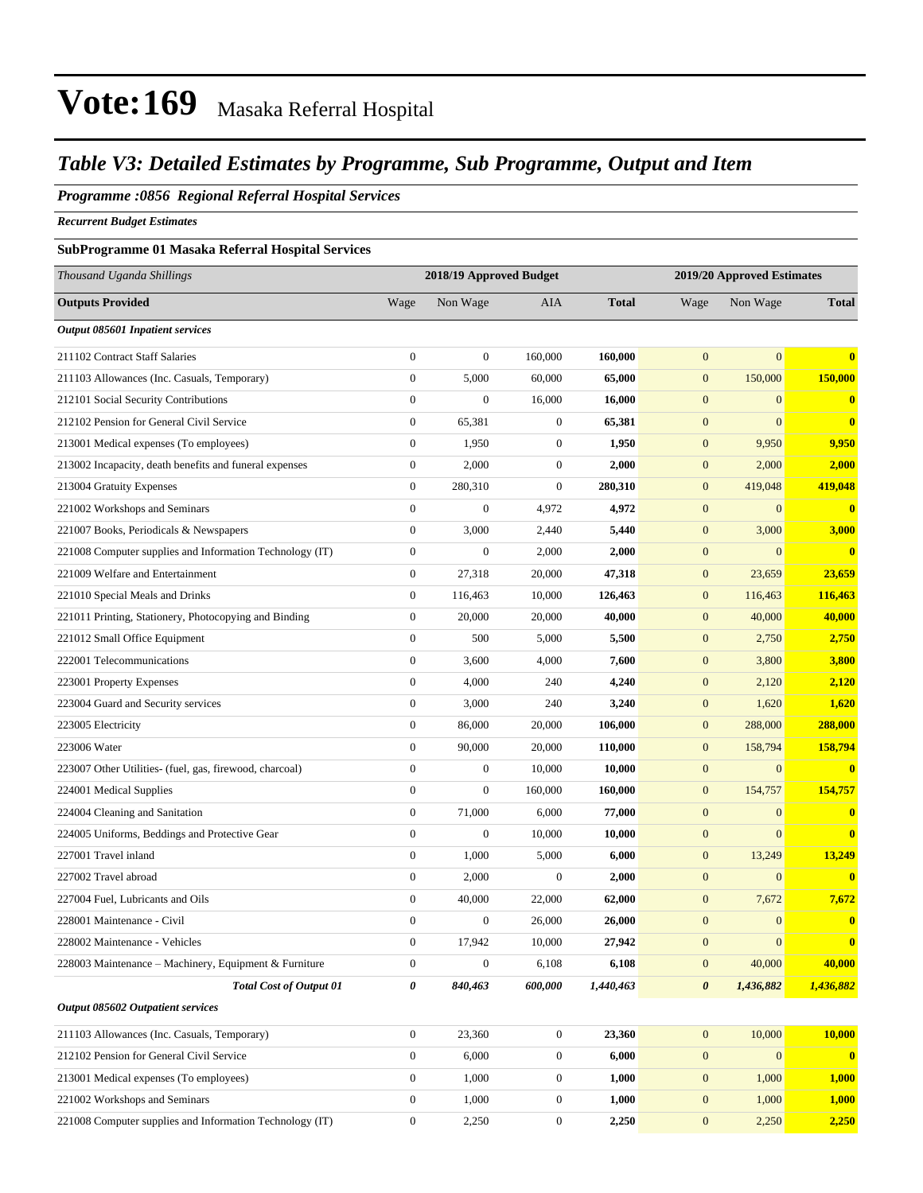#### *Table V3: Detailed Estimates by Programme, Sub Programme, Output and Item*

#### *Programme :0856 Regional Referral Hospital Services*

*Recurrent Budget Estimates*

#### **SubProgramme 01 Masaka Referral Hospital Services**

| Thousand Uganda Shillings                                |                  | 2018/19 Approved Budget |                  |              |                       | 2019/20 Approved Estimates |              |
|----------------------------------------------------------|------------------|-------------------------|------------------|--------------|-----------------------|----------------------------|--------------|
| <b>Outputs Provided</b>                                  | Wage             | Non Wage                | AIA              | <b>Total</b> | Wage                  | Non Wage                   | <b>Total</b> |
| <b>Output 085601 Inpatient services</b>                  |                  |                         |                  |              |                       |                            |              |
| 211102 Contract Staff Salaries                           | $\boldsymbol{0}$ | $\boldsymbol{0}$        | 160,000          | 160,000      | $\mathbf{0}$          | $\mathbf{0}$               | $\bf{0}$     |
| 211103 Allowances (Inc. Casuals, Temporary)              | $\overline{0}$   | 5,000                   | 60,000           | 65,000       | $\mathbf{0}$          | 150,000                    | 150,000      |
| 212101 Social Security Contributions                     | $\boldsymbol{0}$ | $\mathbf{0}$            | 16,000           | 16,000       | $\mathbf{0}$          | $\mathbf{0}$               | $\mathbf{0}$ |
| 212102 Pension for General Civil Service                 | $\boldsymbol{0}$ | 65,381                  | $\mathbf{0}$     | 65,381       | $\mathbf{0}$          | $\overline{0}$             | $\bf{0}$     |
| 213001 Medical expenses (To employees)                   | $\boldsymbol{0}$ | 1,950                   | $\mathbf{0}$     | 1,950        | $\mathbf{0}$          | 9,950                      | 9,950        |
| 213002 Incapacity, death benefits and funeral expenses   | 0                | 2,000                   | $\mathbf{0}$     | 2,000        | $\boldsymbol{0}$      | 2,000                      | 2,000        |
| 213004 Gratuity Expenses                                 | $\boldsymbol{0}$ | 280,310                 | $\boldsymbol{0}$ | 280,310      | $\boldsymbol{0}$      | 419,048                    | 419,048      |
| 221002 Workshops and Seminars                            | $\boldsymbol{0}$ | $\mathbf{0}$            | 4,972            | 4,972        | $\mathbf{0}$          | $\overline{0}$             | $\mathbf{0}$ |
| 221007 Books, Periodicals & Newspapers                   | $\boldsymbol{0}$ | 3,000                   | 2,440            | 5,440        | $\mathbf{0}$          | 3,000                      | 3,000        |
| 221008 Computer supplies and Information Technology (IT) | $\boldsymbol{0}$ | $\boldsymbol{0}$        | 2,000            | 2,000        | $\boldsymbol{0}$      | $\overline{0}$             | $\bf{0}$     |
| 221009 Welfare and Entertainment                         | $\boldsymbol{0}$ | 27,318                  | 20,000           | 47,318       | $\boldsymbol{0}$      | 23,659                     | 23,659       |
| 221010 Special Meals and Drinks                          | $\boldsymbol{0}$ | 116,463                 | 10,000           | 126,463      | $\boldsymbol{0}$      | 116,463                    | 116,463      |
| 221011 Printing, Stationery, Photocopying and Binding    | $\boldsymbol{0}$ | 20,000                  | 20,000           | 40,000       | $\mathbf{0}$          | 40,000                     | 40,000       |
| 221012 Small Office Equipment                            | $\boldsymbol{0}$ | 500                     | 5,000            | 5,500        | $\mathbf{0}$          | 2,750                      | 2,750        |
| 222001 Telecommunications                                | $\boldsymbol{0}$ | 3,600                   | 4,000            | 7,600        | $\mathbf{0}$          | 3,800                      | 3,800        |
| 223001 Property Expenses                                 | $\boldsymbol{0}$ | 4,000                   | 240              | 4,240        | $\mathbf{0}$          | 2,120                      | 2,120        |
| 223004 Guard and Security services                       | $\boldsymbol{0}$ | 3,000                   | 240              | 3,240        | $\boldsymbol{0}$      | 1,620                      | 1,620        |
| 223005 Electricity                                       | $\boldsymbol{0}$ | 86,000                  | 20,000           | 106,000      | $\mathbf{0}$          | 288,000                    | 288,000      |
| 223006 Water                                             | $\boldsymbol{0}$ | 90,000                  | 20,000           | 110,000      | $\mathbf{0}$          | 158,794                    | 158,794      |
| 223007 Other Utilities- (fuel, gas, firewood, charcoal)  | $\boldsymbol{0}$ | $\boldsymbol{0}$        | 10,000           | 10,000       | $\mathbf{0}$          | $\mathbf{0}$               | $\bf{0}$     |
| 224001 Medical Supplies                                  | $\boldsymbol{0}$ | $\boldsymbol{0}$        | 160,000          | 160,000      | $\boldsymbol{0}$      | 154,757                    | 154,757      |
| 224004 Cleaning and Sanitation                           | $\overline{0}$   | 71,000                  | 6,000            | 77,000       | $\mathbf{0}$          | $\overline{0}$             | $\bf{0}$     |
| 224005 Uniforms, Beddings and Protective Gear            | $\boldsymbol{0}$ | $\boldsymbol{0}$        | 10,000           | 10,000       | $\mathbf{0}$          | $\overline{0}$             | $\bf{0}$     |
| 227001 Travel inland                                     | $\boldsymbol{0}$ | 1,000                   | 5,000            | 6,000        | $\mathbf{0}$          | 13,249                     | 13,249       |
| 227002 Travel abroad                                     | $\boldsymbol{0}$ | 2,000                   | $\boldsymbol{0}$ | 2,000        | $\mathbf{0}$          | $\mathbf{0}$               | $\bf{0}$     |
| 227004 Fuel, Lubricants and Oils                         | $\boldsymbol{0}$ | 40,000                  | 22,000           | 62,000       | $\boldsymbol{0}$      | 7,672                      | 7,672        |
| 228001 Maintenance - Civil                               | $\overline{0}$   | $\boldsymbol{0}$        | 26,000           | 26,000       | $\mathbf{0}$          | $\overline{0}$             | $\bf{0}$     |
| 228002 Maintenance - Vehicles                            | 0                | 17,942                  | 10,000           | 27,942       | $\boldsymbol{0}$      | $\mathbf{0}$               | $\mathbf{0}$ |
| 228003 Maintenance – Machinery, Equipment & Furniture    | $\boldsymbol{0}$ | $\boldsymbol{0}$        | 6,108            | 6,108        | $\mathbf{0}$          | 40,000                     | 40,000       |
| <b>Total Cost of Output 01</b>                           | 0                | 840,463                 | 600,000          | 1,440,463    | $\boldsymbol{\theta}$ | 1,436,882                  | 1,436,882    |
| Output 085602 Outpatient services                        |                  |                         |                  |              |                       |                            |              |
| 211103 Allowances (Inc. Casuals, Temporary)              | $\boldsymbol{0}$ | 23,360                  | $\mathbf{0}$     | 23,360       | $\mathbf{0}$          | 10,000                     | 10,000       |
| 212102 Pension for General Civil Service                 | $\boldsymbol{0}$ | 6,000                   | $\boldsymbol{0}$ | 6,000        | $\boldsymbol{0}$      | $\mathbf{0}$               | $\bf{0}$     |
| 213001 Medical expenses (To employees)                   | $\boldsymbol{0}$ | 1,000                   | $\boldsymbol{0}$ | 1,000        | $\mathbf{0}$          | 1,000                      | 1,000        |
| 221002 Workshops and Seminars                            | $\boldsymbol{0}$ | 1,000                   | $\boldsymbol{0}$ | 1,000        | $\mathbf{0}$          | 1,000                      | 1,000        |
| 221008 Computer supplies and Information Technology (IT) | $\boldsymbol{0}$ | 2,250                   | $\boldsymbol{0}$ | 2,250        | $\mathbf{0}$          | 2,250                      | 2,250        |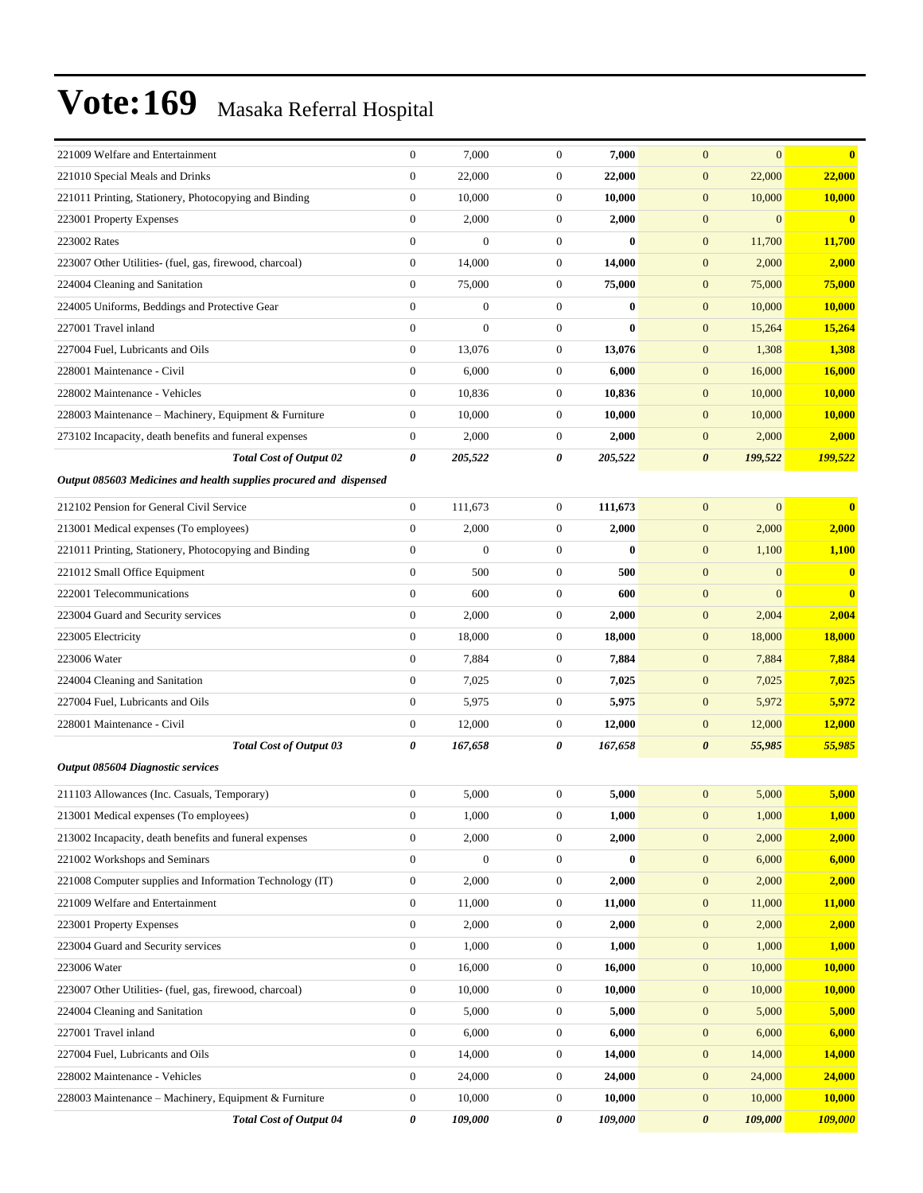| 221009 Welfare and Entertainment                                   | $\boldsymbol{0}$ | 7,000            | $\boldsymbol{0}$ | 7,000                 | $\mathbf{0}$<br>$\mathbf{0}$     | $\bf{0}$      |
|--------------------------------------------------------------------|------------------|------------------|------------------|-----------------------|----------------------------------|---------------|
| 221010 Special Meals and Drinks                                    | $\boldsymbol{0}$ | 22,000           | $\boldsymbol{0}$ | 22,000                | $\boldsymbol{0}$<br>22,000       | 22,000        |
| 221011 Printing, Stationery, Photocopying and Binding              | $\boldsymbol{0}$ | 10,000           | $\boldsymbol{0}$ | 10,000                | $\boldsymbol{0}$<br>10,000       | 10,000        |
| 223001 Property Expenses                                           | $\boldsymbol{0}$ | 2,000            | $\boldsymbol{0}$ | 2,000                 | $\boldsymbol{0}$<br>$\mathbf{0}$ | $\bf{0}$      |
| 223002 Rates                                                       | $\boldsymbol{0}$ | $\overline{0}$   | $\boldsymbol{0}$ | $\mathbf{0}$          | $\boldsymbol{0}$<br>11,700       | 11,700        |
| 223007 Other Utilities- (fuel, gas, firewood, charcoal)            | $\boldsymbol{0}$ | 14,000           | $\boldsymbol{0}$ | 14,000                | 2,000<br>$\mathbf{0}$            | 2,000         |
| 224004 Cleaning and Sanitation                                     | $\boldsymbol{0}$ | 75,000           | $\boldsymbol{0}$ | 75,000                | $\boldsymbol{0}$<br>75,000       | 75,000        |
| 224005 Uniforms, Beddings and Protective Gear                      | $\boldsymbol{0}$ | $\boldsymbol{0}$ | $\boldsymbol{0}$ | $\bf{0}$              | $\boldsymbol{0}$<br>10,000       | 10,000        |
| 227001 Travel inland                                               | $\overline{0}$   | $\overline{0}$   | $\boldsymbol{0}$ | $\bf{0}$              | $\boldsymbol{0}$<br>15,264       | 15,264        |
| 227004 Fuel, Lubricants and Oils                                   | $\boldsymbol{0}$ | 13,076           | $\boldsymbol{0}$ | 13,076                | $\boldsymbol{0}$<br>1,308        | 1,308         |
| 228001 Maintenance - Civil                                         | $\boldsymbol{0}$ | 6,000            | $\boldsymbol{0}$ | 6,000                 | 16,000<br>$\boldsymbol{0}$       | 16,000        |
| 228002 Maintenance - Vehicles                                      | $\boldsymbol{0}$ | 10,836           | $\boldsymbol{0}$ | 10,836                | $\boldsymbol{0}$<br>10,000       | <b>10,000</b> |
| 228003 Maintenance - Machinery, Equipment & Furniture              | $\boldsymbol{0}$ | 10,000           | $\boldsymbol{0}$ | 10,000                | $\boldsymbol{0}$<br>10,000       | 10,000        |
| 273102 Incapacity, death benefits and funeral expenses             | $\boldsymbol{0}$ | 2,000            | $\boldsymbol{0}$ | 2,000                 | $\mathbf{0}$<br>2,000            | 2,000         |
| <b>Total Cost of Output 02</b>                                     | 0                | 205,522          | 0                | 205,522               | $\boldsymbol{\theta}$<br>199,522 | 199,522       |
| Output 085603 Medicines and health supplies procured and dispensed |                  |                  |                  |                       |                                  |               |
| 212102 Pension for General Civil Service                           | $\boldsymbol{0}$ | 111,673          | $\boldsymbol{0}$ | 111,673               | $\boldsymbol{0}$<br>$\mathbf{0}$ | $\bf{0}$      |
|                                                                    | $\boldsymbol{0}$ |                  | $\boldsymbol{0}$ |                       |                                  |               |
| 213001 Medical expenses (To employees)                             |                  | 2,000            |                  | 2,000<br>$\mathbf{0}$ | $\boldsymbol{0}$<br>2,000        | 2,000         |
| 221011 Printing, Stationery, Photocopying and Binding              | $\boldsymbol{0}$ | $\overline{0}$   | $\boldsymbol{0}$ |                       | $\boldsymbol{0}$<br>1,100        | 1,100         |
| 221012 Small Office Equipment                                      | $\overline{0}$   | 500              | $\boldsymbol{0}$ | 500                   | $\boldsymbol{0}$<br>$\mathbf{0}$ | $\bf{0}$      |
| 222001 Telecommunications                                          | $\boldsymbol{0}$ | 600              | $\boldsymbol{0}$ | 600                   | $\boldsymbol{0}$<br>$\mathbf{0}$ | $\mathbf{0}$  |
| 223004 Guard and Security services                                 | $\boldsymbol{0}$ | 2,000            | $\boldsymbol{0}$ | 2,000                 | $\boldsymbol{0}$<br>2,004        | 2,004         |
| 223005 Electricity                                                 | $\boldsymbol{0}$ | 18,000           | $\boldsymbol{0}$ | 18,000                | $\boldsymbol{0}$<br>18,000       | <b>18,000</b> |
| 223006 Water                                                       | $\boldsymbol{0}$ | 7,884            | $\boldsymbol{0}$ | 7,884                 | $\boldsymbol{0}$<br>7,884        | 7,884         |
| 224004 Cleaning and Sanitation                                     | $\boldsymbol{0}$ | 7,025            | $\boldsymbol{0}$ | 7,025                 | $\boldsymbol{0}$<br>7,025        | 7,025         |
| 227004 Fuel, Lubricants and Oils                                   | $\boldsymbol{0}$ | 5,975            | $\boldsymbol{0}$ | 5,975                 | $\boldsymbol{0}$<br>5,972        | 5,972         |
| 228001 Maintenance - Civil                                         | $\boldsymbol{0}$ | 12,000           | $\boldsymbol{0}$ | 12,000                | 12,000<br>$\boldsymbol{0}$       | 12,000        |
| Total Cost of Output 03                                            | 0                | 167,658          | 0                | 167,658               | 0<br>55,985                      | 55,985        |
| <b>Output 085604 Diagnostic services</b>                           |                  |                  |                  |                       |                                  |               |
| 211103 Allowances (Inc. Casuals, Temporary)                        | $\boldsymbol{0}$ | 5,000            | $\boldsymbol{0}$ | 5,000                 | 5,000<br>$\mathbf{0}$            | 5,000         |
| 213001 Medical expenses (To employees)                             | $\boldsymbol{0}$ | 1,000            | $\boldsymbol{0}$ | 1,000                 | $\boldsymbol{0}$<br>1,000        | 1,000         |
| 213002 Incapacity, death benefits and funeral expenses             | $\boldsymbol{0}$ | 2,000            | $\mathbf{0}$     | 2,000                 | 2,000<br>$\mathbf{0}$            | 2,000         |
| 221002 Workshops and Seminars                                      | $\boldsymbol{0}$ | $\boldsymbol{0}$ | $\boldsymbol{0}$ | $\bf{0}$              | $\boldsymbol{0}$<br>6,000        | 6,000         |
| 221008 Computer supplies and Information Technology (IT)           | $\boldsymbol{0}$ | 2,000            | $\boldsymbol{0}$ | 2,000                 | $\boldsymbol{0}$<br>2,000        | 2,000         |
| 221009 Welfare and Entertainment                                   | $\boldsymbol{0}$ | 11,000           | $\boldsymbol{0}$ | 11,000                | $\boldsymbol{0}$<br>11,000       | 11,000        |
| 223001 Property Expenses                                           | $\boldsymbol{0}$ | 2,000            | $\boldsymbol{0}$ | 2,000                 | $\boldsymbol{0}$<br>2,000        | 2,000         |
| 223004 Guard and Security services                                 | $\boldsymbol{0}$ | 1,000            | $\boldsymbol{0}$ | 1,000                 | 1,000<br>$\mathbf{0}$            | 1,000         |
| 223006 Water                                                       | $\boldsymbol{0}$ | 16,000           | $\boldsymbol{0}$ | 16,000                | $\boldsymbol{0}$<br>10,000       | 10,000        |
| 223007 Other Utilities- (fuel, gas, firewood, charcoal)            | $\boldsymbol{0}$ | 10,000           | $\boldsymbol{0}$ | 10,000                | $\boldsymbol{0}$<br>10,000       | <b>10,000</b> |
| 224004 Cleaning and Sanitation                                     | $\boldsymbol{0}$ | 5,000            | $\boldsymbol{0}$ | 5,000                 | 5,000<br>$\boldsymbol{0}$        | 5,000         |
| 227001 Travel inland                                               | $\boldsymbol{0}$ | 6,000            | $\boldsymbol{0}$ | 6,000                 | $\boldsymbol{0}$<br>6,000        | 6,000         |
|                                                                    | $\boldsymbol{0}$ |                  | $\boldsymbol{0}$ | 14,000                | 14,000<br>$\mathbf{0}$           | 14,000        |
| 227004 Fuel, Lubricants and Oils<br>228002 Maintenance - Vehicles  | $\boldsymbol{0}$ | 14,000<br>24,000 | $\boldsymbol{0}$ | 24,000                | $\boldsymbol{0}$<br>24,000       | 24,000        |
|                                                                    |                  |                  |                  |                       |                                  |               |
| 228003 Maintenance – Machinery, Equipment & Furniture              | $\boldsymbol{0}$ | 10,000           | $\boldsymbol{0}$ | 10,000                | $\boldsymbol{0}$<br>10,000       | <b>10,000</b> |
| <b>Total Cost of Output 04</b>                                     | 0                | 109,000          | 0                | 109,000               | $\pmb{\theta}$<br>109,000        | 109,000       |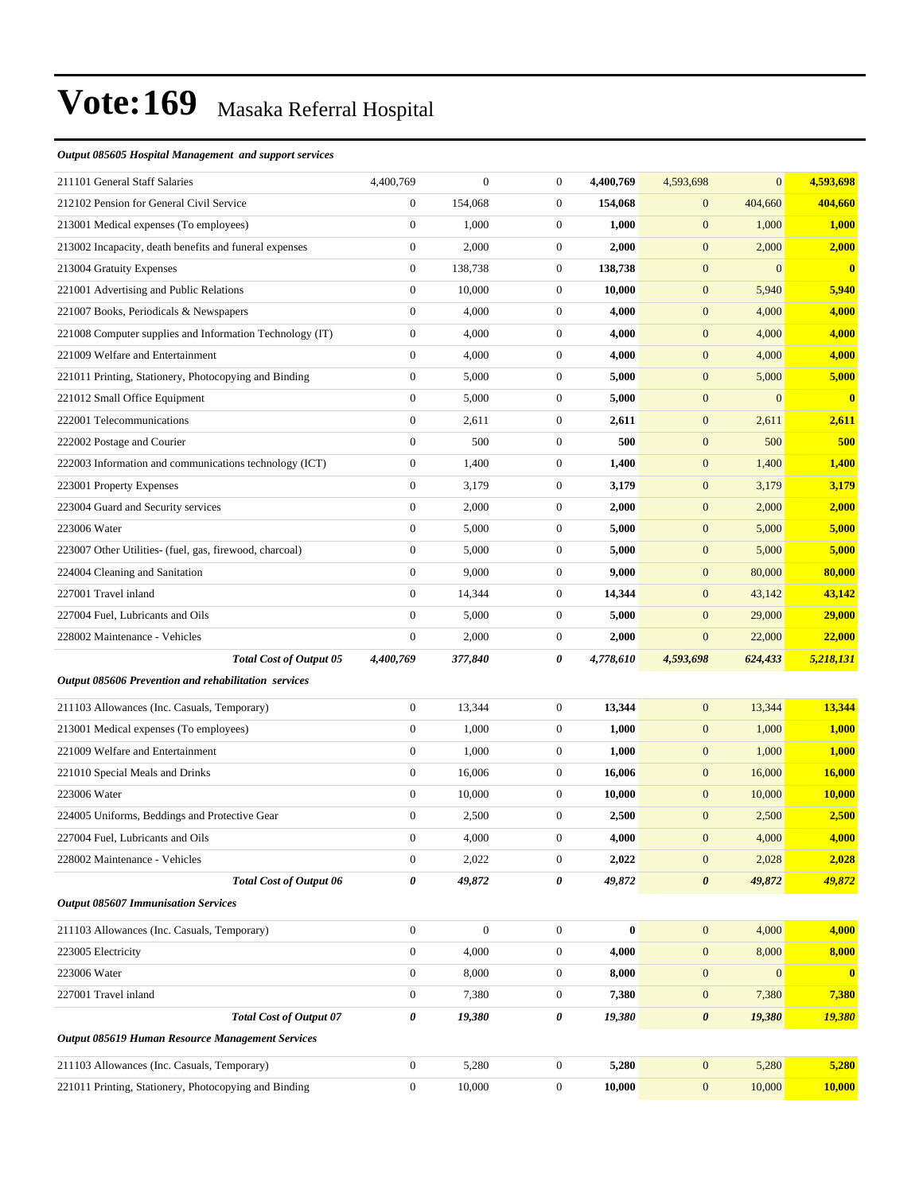#### *Output 085605 Hospital Management and support services*

| 211101 General Staff Salaries                            | 4,400,769        | $\boldsymbol{0}$ | $\boldsymbol{0}$ | 4,400,769 | 4,593,698             | $\mathbf{0}$     | 4,593,698               |
|----------------------------------------------------------|------------------|------------------|------------------|-----------|-----------------------|------------------|-------------------------|
| 212102 Pension for General Civil Service                 | $\boldsymbol{0}$ | 154,068          | $\boldsymbol{0}$ | 154,068   | $\boldsymbol{0}$      | 404,660          | 404,660                 |
| 213001 Medical expenses (To employees)                   | $\boldsymbol{0}$ | 1,000            | $\boldsymbol{0}$ | 1,000     | $\boldsymbol{0}$      | 1,000            | 1,000                   |
| 213002 Incapacity, death benefits and funeral expenses   | $\boldsymbol{0}$ | 2,000            | $\boldsymbol{0}$ | 2,000     | $\boldsymbol{0}$      | 2,000            | 2,000                   |
| 213004 Gratuity Expenses                                 | $\boldsymbol{0}$ | 138,738          | $\boldsymbol{0}$ | 138,738   | $\boldsymbol{0}$      | $\mathbf{0}$     | $\mathbf{0}$            |
| 221001 Advertising and Public Relations                  | $\boldsymbol{0}$ | 10,000           | $\boldsymbol{0}$ | 10,000    | $\boldsymbol{0}$      | 5,940            | 5,940                   |
| 221007 Books, Periodicals & Newspapers                   | $\boldsymbol{0}$ | 4,000            | $\boldsymbol{0}$ | 4,000     | $\boldsymbol{0}$      | 4,000            | 4,000                   |
| 221008 Computer supplies and Information Technology (IT) | $\boldsymbol{0}$ | 4,000            | $\boldsymbol{0}$ | 4,000     | $\boldsymbol{0}$      | 4,000            | 4,000                   |
| 221009 Welfare and Entertainment                         | $\boldsymbol{0}$ | 4,000            | $\boldsymbol{0}$ | 4,000     | $\boldsymbol{0}$      | 4,000            | 4,000                   |
| 221011 Printing, Stationery, Photocopying and Binding    | $\boldsymbol{0}$ | 5,000            | $\boldsymbol{0}$ | 5,000     | $\boldsymbol{0}$      | 5,000            | 5,000                   |
| 221012 Small Office Equipment                            | $\boldsymbol{0}$ | 5,000            | $\boldsymbol{0}$ | 5,000     | $\boldsymbol{0}$      | $\mathbf{0}$     | $\overline{\mathbf{0}}$ |
| 222001 Telecommunications                                | $\boldsymbol{0}$ | 2,611            | $\boldsymbol{0}$ | 2,611     | $\boldsymbol{0}$      | 2,611            | 2,611                   |
| 222002 Postage and Courier                               | $\boldsymbol{0}$ | 500              | $\boldsymbol{0}$ | 500       | $\boldsymbol{0}$      | 500              | 500                     |
| 222003 Information and communications technology (ICT)   | $\boldsymbol{0}$ | 1,400            | $\boldsymbol{0}$ | 1,400     | $\boldsymbol{0}$      | 1,400            | 1,400                   |
| 223001 Property Expenses                                 | $\boldsymbol{0}$ | 3,179            | $\boldsymbol{0}$ | 3,179     | $\boldsymbol{0}$      | 3,179            | 3,179                   |
| 223004 Guard and Security services                       | $\boldsymbol{0}$ | 2,000            | $\boldsymbol{0}$ | 2,000     | $\boldsymbol{0}$      | 2,000            | 2,000                   |
| 223006 Water                                             | $\boldsymbol{0}$ | 5,000            | $\boldsymbol{0}$ | 5,000     | $\boldsymbol{0}$      | 5,000            | 5,000                   |
| 223007 Other Utilities- (fuel, gas, firewood, charcoal)  | $\boldsymbol{0}$ | 5,000            | $\boldsymbol{0}$ | 5,000     | $\boldsymbol{0}$      | 5,000            | 5,000                   |
| 224004 Cleaning and Sanitation                           | $\boldsymbol{0}$ | 9,000            | $\boldsymbol{0}$ | 9,000     | $\boldsymbol{0}$      | 80,000           | 80,000                  |
| 227001 Travel inland                                     | $\boldsymbol{0}$ | 14,344           | $\boldsymbol{0}$ | 14,344    | $\boldsymbol{0}$      | 43,142           | 43,142                  |
| 227004 Fuel, Lubricants and Oils                         | $\boldsymbol{0}$ | 5,000            | $\boldsymbol{0}$ | 5,000     | $\boldsymbol{0}$      | 29,000           | 29,000                  |
| 228002 Maintenance - Vehicles                            | $\boldsymbol{0}$ | 2,000            | $\boldsymbol{0}$ | 2,000     | $\mathbf{0}$          | 22,000           | 22,000                  |
| <b>Total Cost of Output 05</b>                           | 4,400,769        | 377,840          | 0                | 4,778,610 | 4,593,698             | 624,433          | 5,218,131               |
| Output 085606 Prevention and rehabilitation services     |                  |                  |                  |           |                       |                  |                         |
| 211103 Allowances (Inc. Casuals, Temporary)              | $\boldsymbol{0}$ | 13,344           | $\boldsymbol{0}$ | 13,344    | $\boldsymbol{0}$      | 13,344           | 13,344                  |
| 213001 Medical expenses (To employees)                   | $\boldsymbol{0}$ | 1,000            | $\boldsymbol{0}$ | 1,000     | $\boldsymbol{0}$      | 1,000            | 1,000                   |
| 221009 Welfare and Entertainment                         | $\boldsymbol{0}$ | 1,000            | $\boldsymbol{0}$ | 1,000     | $\mathbf{0}$          | 1,000            | 1,000                   |
| 221010 Special Meals and Drinks                          | $\boldsymbol{0}$ | 16,006           | $\boldsymbol{0}$ | 16,006    | $\boldsymbol{0}$      | 16,000           | 16,000                  |
| 223006 Water                                             | $\boldsymbol{0}$ | 10,000           | $\boldsymbol{0}$ | 10,000    | $\mathbf{0}$          | 10,000           | 10,000                  |
| 224005 Uniforms, Beddings and Protective Gear            | $\boldsymbol{0}$ | 2,500            | $\boldsymbol{0}$ | 2,500     | $\boldsymbol{0}$      | 2,500            | 2,500                   |
| 227004 Fuel, Lubricants and Oils                         | $\Omega$         | 4,000            | $\mathbf{0}$     | 4,000     | $\overline{0}$        | 4,000            | 4,000                   |
| 228002 Maintenance - Vehicles                            | $\boldsymbol{0}$ | 2,022            | $\boldsymbol{0}$ | 2,022     | $\boldsymbol{0}$      | 2,028            | 2,028                   |
| <b>Total Cost of Output 06</b>                           | 0                | 49,872           | $\pmb{\theta}$   | 49,872    | $\boldsymbol{\theta}$ | 49,872           | 49,872                  |
| <b>Output 085607 Immunisation Services</b>               |                  |                  |                  |           |                       |                  |                         |
| 211103 Allowances (Inc. Casuals, Temporary)              | $\boldsymbol{0}$ | $\mathbf{0}$     | $\boldsymbol{0}$ | $\bf{0}$  | $\boldsymbol{0}$      | 4,000            | 4,000                   |
| 223005 Electricity                                       | $\boldsymbol{0}$ | 4,000            | $\boldsymbol{0}$ | 4,000     | $\mathbf{0}$          | 8,000            | 8,000                   |
| 223006 Water                                             | $\boldsymbol{0}$ | 8,000            | $\boldsymbol{0}$ | 8,000     | $\boldsymbol{0}$      | $\boldsymbol{0}$ | $\overline{\mathbf{0}}$ |
| 227001 Travel inland                                     |                  |                  |                  |           |                       |                  |                         |
|                                                          | $\boldsymbol{0}$ | 7,380            | $\boldsymbol{0}$ | 7,380     | $\boldsymbol{0}$      | 7,380            | 7,380                   |
| <b>Total Cost of Output 07</b>                           | 0                | 19,380           | 0                | 19,380    | $\boldsymbol{\theta}$ | 19,380           | 19,380                  |
| <b>Output 085619 Human Resource Management Services</b>  |                  |                  |                  |           |                       |                  |                         |
| 211103 Allowances (Inc. Casuals, Temporary)              | $\boldsymbol{0}$ | 5,280            | $\boldsymbol{0}$ | 5,280     | $\mathbf{0}$          | 5,280            | 5,280                   |
| 221011 Printing, Stationery, Photocopying and Binding    | $\boldsymbol{0}$ | 10,000           | $\boldsymbol{0}$ | 10,000    | $\mathbf{0}$          | 10,000           | <b>10,000</b>           |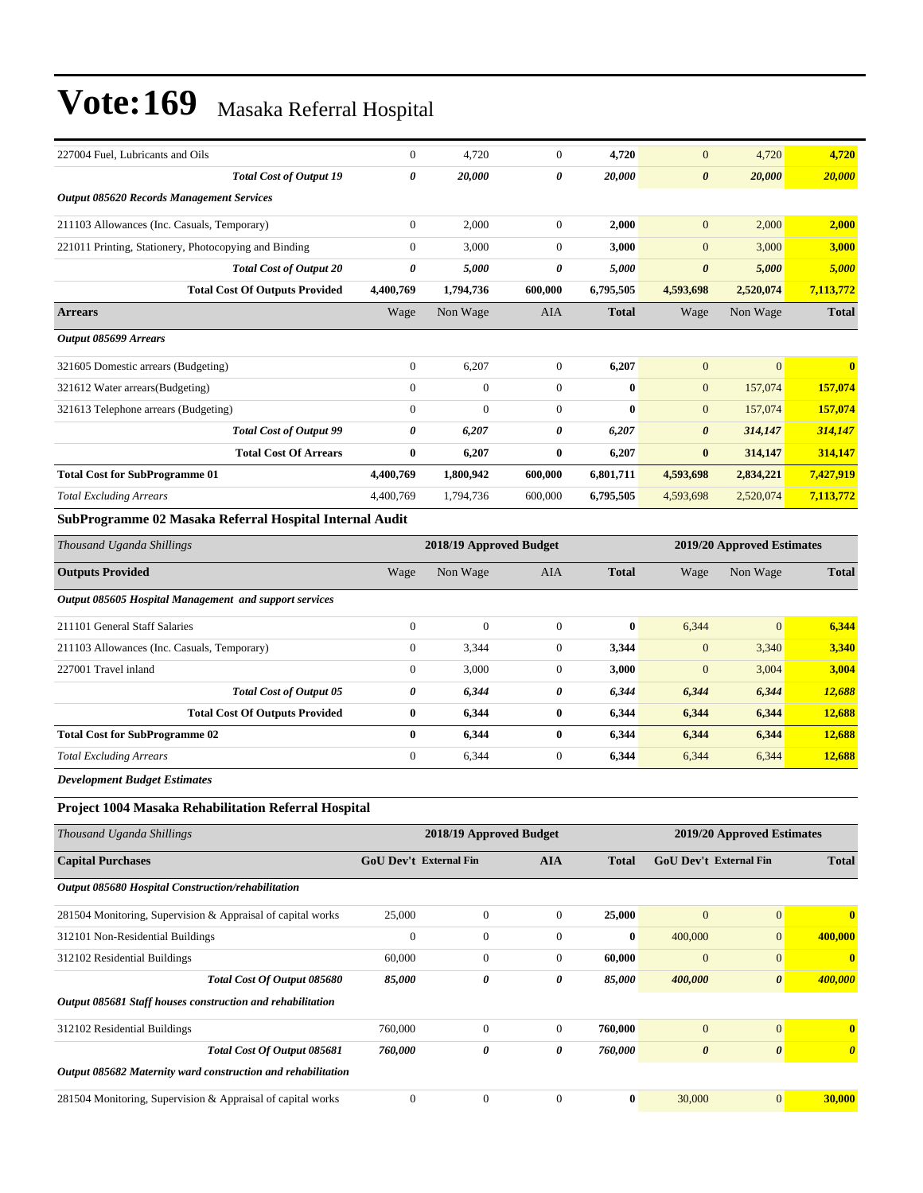| 227004 Fuel, Lubricants and Oils                        | $\overline{0}$        | 4,720     | $\theta$       | 4,720        | $\overline{0}$        | 4,720          | 4,720        |
|---------------------------------------------------------|-----------------------|-----------|----------------|--------------|-----------------------|----------------|--------------|
| <b>Total Cost of Output 19</b>                          | 0                     | 20,000    | 0              | 20,000       | $\boldsymbol{\theta}$ | 20,000         | 20,000       |
| Output 085620 Records Management Services               |                       |           |                |              |                       |                |              |
| 211103 Allowances (Inc. Casuals, Temporary)             | $\mathbf{0}$          | 2,000     | $\overline{0}$ | 2.000        | $\mathbf{0}$          | 2,000          | 2,000        |
| 221011 Printing, Stationery, Photocopying and Binding   | $\mathbf{0}$          | 3,000     | $\Omega$       | 3,000        | $\overline{0}$        | 3,000          | 3,000        |
| <b>Total Cost of Output 20</b>                          | $\boldsymbol{\theta}$ | 5,000     | 0              | 5,000        | $\boldsymbol{\theta}$ | 5,000          | 5,000        |
| <b>Total Cost Of Outputs Provided</b>                   | 4,400,769             | 1,794,736 | 600,000        | 6,795,505    | 4,593,698             | 2,520,074      | 7,113,772    |
| <b>Arrears</b>                                          | Wage                  | Non Wage  | <b>AIA</b>     | <b>Total</b> | Wage                  | Non Wage       | <b>Total</b> |
| Output 085699 Arrears                                   |                       |           |                |              |                       |                |              |
| 321605 Domestic arrears (Budgeting)                     | $\mathbf{0}$          | 6,207     | $\overline{0}$ | 6,207        | $\mathbf{0}$          | $\overline{0}$ | $\mathbf{0}$ |
| 321612 Water arrears (Budgeting)                        | $\mathbf{0}$          | $\theta$  | $\Omega$       | $\bf{0}$     | $\mathbf{0}$          | 157,074        | 157,074      |
| 321613 Telephone arrears (Budgeting)                    | $\mathbf{0}$          | $\Omega$  | $\overline{0}$ | $\mathbf{0}$ | $\mathbf{0}$          | 157,074        | 157,074      |
| <b>Total Cost of Output 99</b>                          | 0                     | 6,207     | 0              | 6,207        | $\boldsymbol{\theta}$ | 314,147        | 314,147      |
| <b>Total Cost Of Arrears</b>                            | $\bf{0}$              | 6,207     | 0              | 6,207        | $\bf{0}$              | 314,147        | 314,147      |
| <b>Total Cost for SubProgramme 01</b>                   | 4,400,769             | 1,800,942 | 600,000        | 6,801,711    | 4,593,698             | 2,834,221      | 7,427,919    |
| <b>Total Excluding Arrears</b>                          | 4,400,769             | 1,794,736 | 600,000        | 6,795,505    | 4,593,698             | 2,520,074      | 7,113,772    |
| SubProgramme 02 Masaka Referral Hospital Internal Audit |                       |           |                |              |                       |                |              |

### *Thousand Uganda Shillings* **2018/19 Approved Budget 2019/20 Approved Estimates**

| <b>Outputs Provided</b>                                | Wage         | Non Wage     | <b>AIA</b>     | <b>Total</b> | Wage         | Non Wage       | <b>Total</b> |
|--------------------------------------------------------|--------------|--------------|----------------|--------------|--------------|----------------|--------------|
| Output 085605 Hospital Management and support services |              |              |                |              |              |                |              |
| 211101 General Staff Salaries                          | $\Omega$     | $\mathbf{0}$ | $\Omega$       | $\bf{0}$     | 6,344        | $\overline{0}$ | 6,344        |
| 211103 Allowances (Inc. Casuals, Temporary)            | $\mathbf{0}$ | 3,344        | $\mathbf{0}$   | 3,344        | $\mathbf{0}$ | 3,340          | 3,340        |
| 227001 Travel inland                                   | $\mathbf{0}$ | 3,000        | $\mathbf{0}$   | 3,000        | $\mathbf{0}$ | 3,004          | 3,004        |
| <b>Total Cost of Output 05</b>                         | 0            | 6,344        | 0              | 6,344        | 6,344        | 6,344          | 12,688       |
| <b>Total Cost Of Outputs Provided</b>                  | $\bf{0}$     | 6,344        | 0              | 6,344        | 6,344        | 6,344          | 12,688       |
| <b>Total Cost for SubProgramme 02</b>                  | $\mathbf{0}$ | 6,344        | 0              | 6,344        | 6,344        | 6,344          | 12,688       |
| <b>Total Excluding Arrears</b>                         | $\mathbf{0}$ | 6,344        | $\overline{0}$ | 6,344        | 6,344        | 6,344          | 12,688       |

*Development Budget Estimates*

#### **Project 1004 Masaka Rehabilitation Referral Hospital**

| Thousand Uganda Shillings                                    |              | 2018/19 Approved Budget                     |                |              | 2019/20 Approved Estimates    |                       |              |  |
|--------------------------------------------------------------|--------------|---------------------------------------------|----------------|--------------|-------------------------------|-----------------------|--------------|--|
| <b>Capital Purchases</b>                                     |              | <b>GoU Dev't External Fin</b><br><b>AIA</b> |                | <b>Total</b> | <b>GoU Dev't External Fin</b> |                       | <b>Total</b> |  |
| Output 085680 Hospital Construction/rehabilitation           |              |                                             |                |              |                               |                       |              |  |
| 281504 Monitoring, Supervision & Appraisal of capital works  | 25,000       | $\mathbf{0}$                                | $\overline{0}$ | 25,000       | $\overline{0}$                | $\mathbf{0}$          | $\mathbf{0}$ |  |
| 312101 Non-Residential Buildings                             | $\theta$     | $\overline{0}$                              | $\theta$       | $\bf{0}$     | 400,000                       | $\mathbf{0}$          | 400,000      |  |
| 312102 Residential Buildings                                 | 60,000       | $\mathbf{0}$                                | $\theta$       | 60,000       | $\overline{0}$                | $\mathbf{0}$          | $\mathbf{0}$ |  |
| Total Cost Of Output 085680                                  | 85,000       | 0                                           | 0              | 85,000       | 400,000                       | $\boldsymbol{\theta}$ | 400,000      |  |
| Output 085681 Staff houses construction and rehabilitation   |              |                                             |                |              |                               |                       |              |  |
| 312102 Residential Buildings                                 | 760,000      | $\mathbf{0}$                                | $\theta$       | 760,000      | $\overline{0}$                | $\overline{0}$        | $\bf{0}$     |  |
| Total Cost Of Output 085681                                  | 760,000      | 0                                           | 0              | 760,000      | $\boldsymbol{\theta}$         | $\boldsymbol{\theta}$ | $\theta$     |  |
| Output 085682 Maternity ward construction and rehabilitation |              |                                             |                |              |                               |                       |              |  |
| 281504 Monitoring, Supervision & Appraisal of capital works  | $\mathbf{0}$ | $\mathbf{0}$                                | $\theta$       | $\bf{0}$     | 30,000                        | $\mathbf{0}$          | 30,000       |  |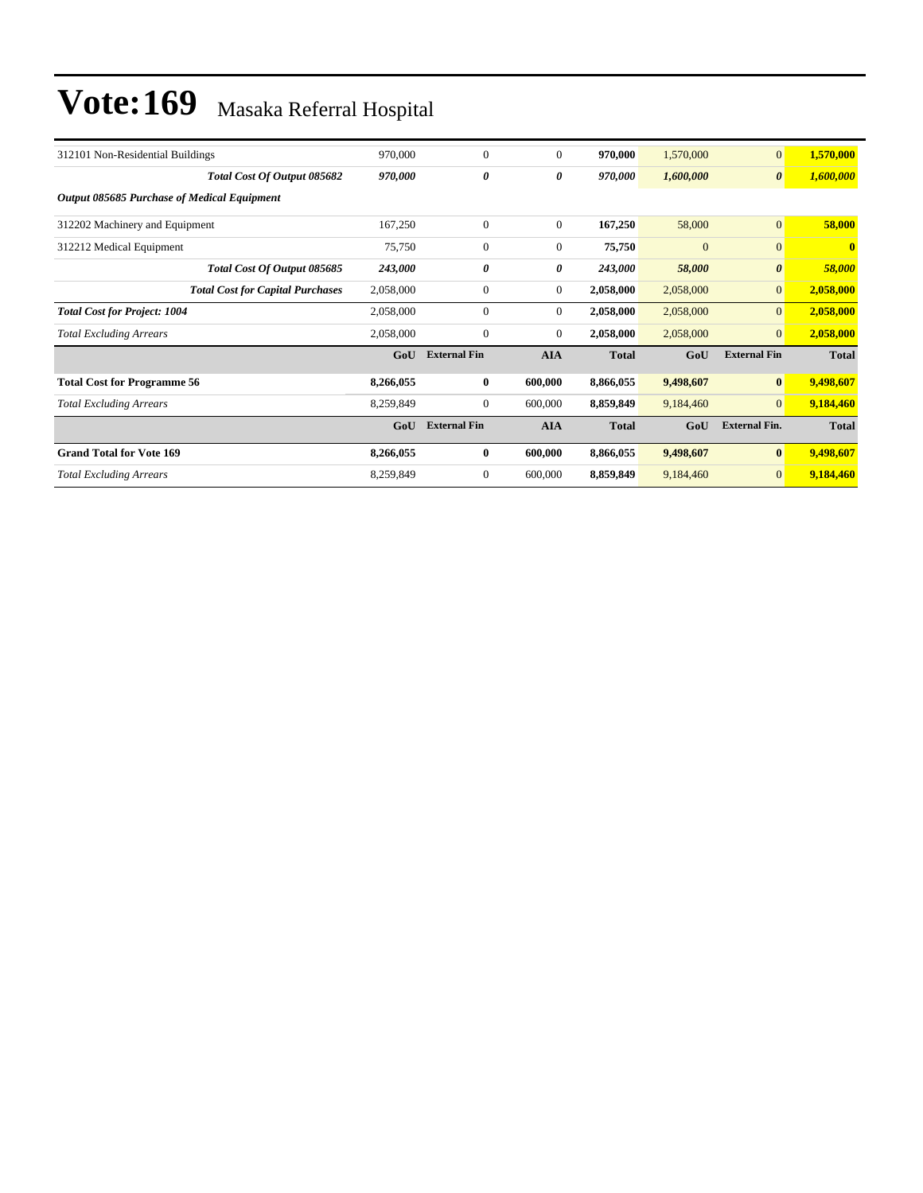| 312101 Non-Residential Buildings                   | 970,000   | $\mathbf{0}$        | $\mathbf{0}$     | 970,000      | 1,570,000    | $\mathbf{0}$          | 1,570,000    |
|----------------------------------------------------|-----------|---------------------|------------------|--------------|--------------|-----------------------|--------------|
| Total Cost Of Output 085682                        | 970,000   | 0                   | 0                | 970,000      | 1,600,000    | $\boldsymbol{\theta}$ | 1,600,000    |
| <b>Output 085685 Purchase of Medical Equipment</b> |           |                     |                  |              |              |                       |              |
| 312202 Machinery and Equipment                     | 167,250   | $\mathbf{0}$        | $\mathbf{0}$     | 167,250      | 58,000       | $\mathbf{0}$          | 58,000       |
| 312212 Medical Equipment                           | 75,750    | $\mathbf{0}$        | $\mathbf{0}$     | 75,750       | $\mathbf{0}$ | $\mathbf{0}$          | $\mathbf{0}$ |
| Total Cost Of Output 085685                        | 243,000   | 0                   | 0                | 243,000      | 58,000       | $\boldsymbol{\theta}$ | 58,000       |
| <b>Total Cost for Capital Purchases</b>            | 2,058,000 | $\mathbf{0}$        | $\mathbf{0}$     | 2,058,000    | 2,058,000    | $\overline{0}$        | 2,058,000    |
| <b>Total Cost for Project: 1004</b>                | 2,058,000 | $\Omega$            | $\boldsymbol{0}$ | 2,058,000    | 2,058,000    | $\mathbf{0}$          | 2,058,000    |
| <b>Total Excluding Arrears</b>                     | 2,058,000 | $\mathbf{0}$        | $\mathbf{0}$     | 2,058,000    | 2,058,000    | $\overline{0}$        | 2,058,000    |
|                                                    | GoU       | <b>External Fin</b> | <b>AIA</b>       | <b>Total</b> | GoU          | <b>External Fin</b>   | <b>Total</b> |
| <b>Total Cost for Programme 56</b>                 | 8,266,055 | $\mathbf{0}$        | 600,000          | 8,866,055    | 9,498,607    | $\mathbf{0}$          | 9,498,607    |
| <b>Total Excluding Arrears</b>                     | 8,259,849 | $\Omega$            | 600,000          | 8,859,849    | 9,184,460    | $\overline{0}$        | 9,184,460    |
|                                                    | GoU       | <b>External Fin</b> | <b>AIA</b>       | <b>Total</b> | GoU          | <b>External Fin.</b>  | <b>Total</b> |
| <b>Grand Total for Vote 169</b>                    | 8,266,055 | $\bf{0}$            | 600,000          | 8,866,055    | 9,498,607    | $\bf{0}$              | 9,498,607    |
| <b>Total Excluding Arrears</b>                     | 8,259,849 | $\mathbf{0}$        | 600,000          | 8,859,849    | 9,184,460    | $\overline{0}$        | 9,184,460    |
|                                                    |           |                     |                  |              |              |                       |              |